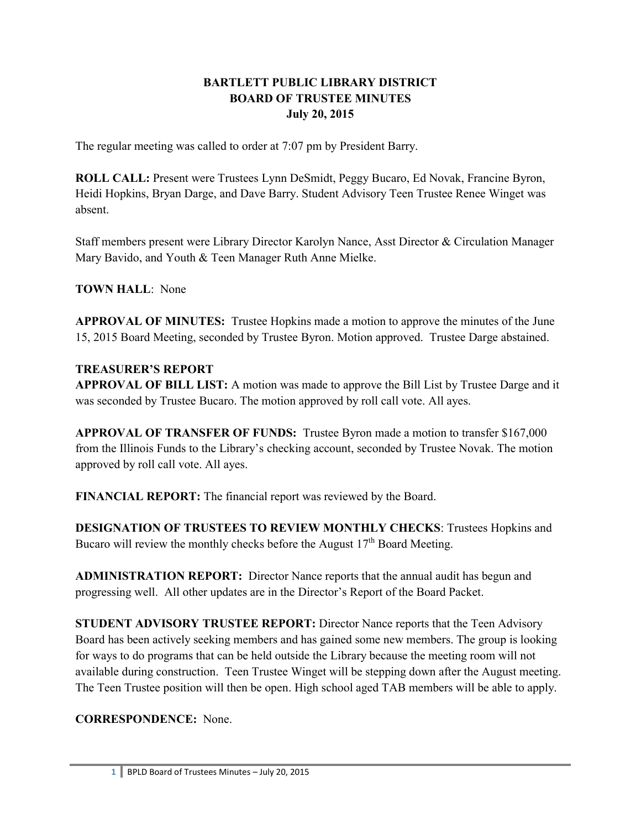### **BARTLETT PUBLIC LIBRARY DISTRICT BOARD OF TRUSTEE MINUTES July 20, 2015**

The regular meeting was called to order at 7:07 pm by President Barry.

**ROLL CALL:** Present were Trustees Lynn DeSmidt, Peggy Bucaro, Ed Novak, Francine Byron, Heidi Hopkins, Bryan Darge, and Dave Barry. Student Advisory Teen Trustee Renee Winget was absent.

Staff members present were Library Director Karolyn Nance, Asst Director & Circulation Manager Mary Bavido, and Youth & Teen Manager Ruth Anne Mielke.

**TOWN HALL**: None

**APPROVAL OF MINUTES:** Trustee Hopkins made a motion to approve the minutes of the June 15, 2015 Board Meeting, seconded by Trustee Byron. Motion approved. Trustee Darge abstained.

#### **TREASURER'S REPORT**

**APPROVAL OF BILL LIST:** A motion was made to approve the Bill List by Trustee Darge and it was seconded by Trustee Bucaro. The motion approved by roll call vote. All ayes.

**APPROVAL OF TRANSFER OF FUNDS:** Trustee Byron made a motion to transfer \$167,000 from the Illinois Funds to the Library's checking account, seconded by Trustee Novak. The motion approved by roll call vote. All ayes.

**FINANCIAL REPORT:** The financial report was reviewed by the Board.

**DESIGNATION OF TRUSTEES TO REVIEW MONTHLY CHECKS**: Trustees Hopkins and Bucaro will review the monthly checks before the August  $17<sup>th</sup>$  Board Meeting.

**ADMINISTRATION REPORT:** Director Nance reports that the annual audit has begun and progressing well. All other updates are in the Director's Report of the Board Packet.

**STUDENT ADVISORY TRUSTEE REPORT:** Director Nance reports that the Teen Advisory Board has been actively seeking members and has gained some new members. The group is looking for ways to do programs that can be held outside the Library because the meeting room will not available during construction. Teen Trustee Winget will be stepping down after the August meeting. The Teen Trustee position will then be open. High school aged TAB members will be able to apply.

# **CORRESPONDENCE:** None.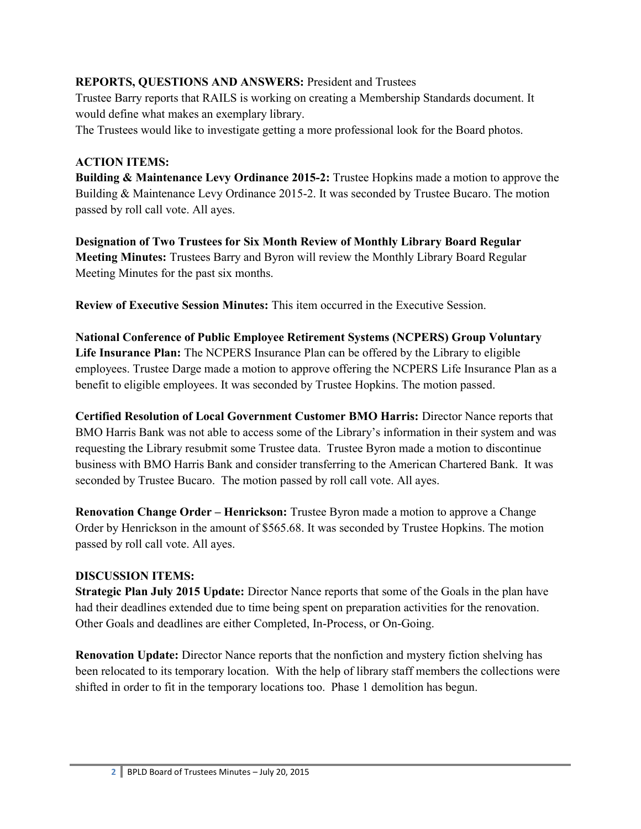#### **REPORTS, QUESTIONS AND ANSWERS:** President and Trustees

Trustee Barry reports that RAILS is working on creating a Membership Standards document. It would define what makes an exemplary library.

The Trustees would like to investigate getting a more professional look for the Board photos.

#### **ACTION ITEMS:**

**Building & Maintenance Levy Ordinance 2015-2:** Trustee Hopkins made a motion to approve the Building & Maintenance Levy Ordinance 2015-2. It was seconded by Trustee Bucaro. The motion passed by roll call vote. All ayes.

**Designation of Two Trustees for Six Month Review of Monthly Library Board Regular Meeting Minutes:** Trustees Barry and Byron will review the Monthly Library Board Regular Meeting Minutes for the past six months.

**Review of Executive Session Minutes:** This item occurred in the Executive Session.

**National Conference of Public Employee Retirement Systems (NCPERS) Group Voluntary Life Insurance Plan:** The NCPERS Insurance Plan can be offered by the Library to eligible employees. Trustee Darge made a motion to approve offering the NCPERS Life Insurance Plan as a benefit to eligible employees. It was seconded by Trustee Hopkins. The motion passed.

**Certified Resolution of Local Government Customer BMO Harris:** Director Nance reports that BMO Harris Bank was not able to access some of the Library's information in their system and was requesting the Library resubmit some Trustee data. Trustee Byron made a motion to discontinue business with BMO Harris Bank and consider transferring to the American Chartered Bank. It was seconded by Trustee Bucaro. The motion passed by roll call vote. All ayes.

**Renovation Change Order – Henrickson:** Trustee Byron made a motion to approve a Change Order by Henrickson in the amount of \$565.68. It was seconded by Trustee Hopkins. The motion passed by roll call vote. All ayes.

### **DISCUSSION ITEMS:**

**Strategic Plan July 2015 Update:** Director Nance reports that some of the Goals in the plan have had their deadlines extended due to time being spent on preparation activities for the renovation. Other Goals and deadlines are either Completed, In-Process, or On-Going.

**Renovation Update:** Director Nance reports that the nonfiction and mystery fiction shelving has been relocated to its temporary location. With the help of library staff members the collections were shifted in order to fit in the temporary locations too. Phase 1 demolition has begun.